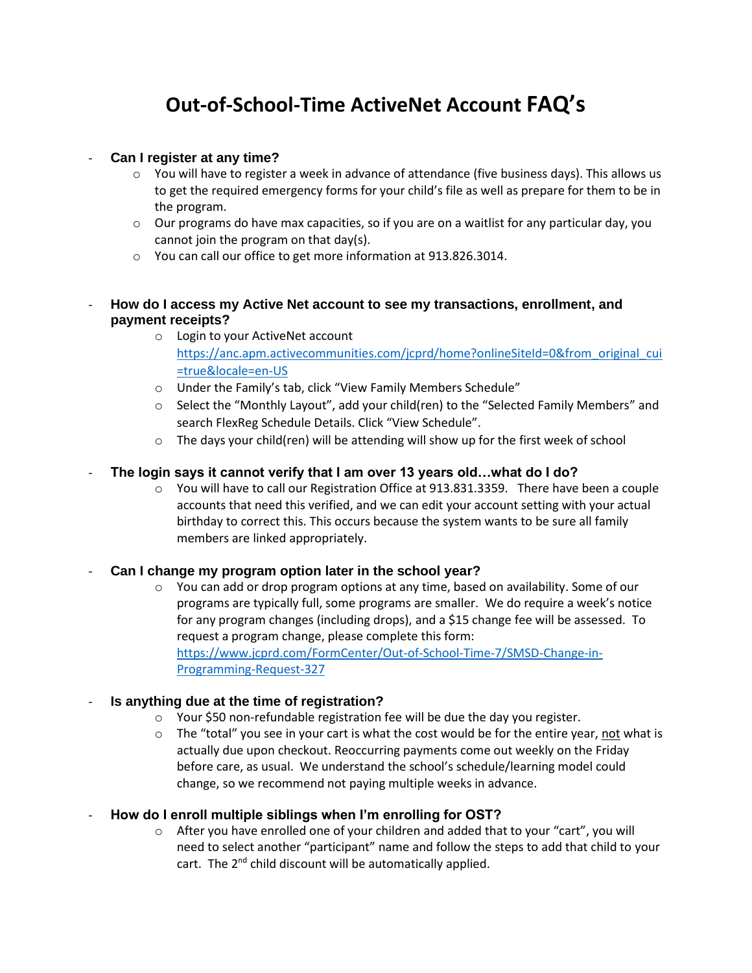# **Out-of-School-Time ActiveNet Account FAQ's**

## - **Can I register at any time?**

- $\circ$  You will have to register a week in advance of attendance (five business days). This allows us to get the required emergency forms for your child's file as well as prepare for them to be in the program.
- $\circ$  Our programs do have max capacities, so if you are on a waitlist for any particular day, you cannot join the program on that day(s).
- o You can call our office to get more information at 913.826.3014.

## - **How do I access my Active Net account to see my transactions, enrollment, and payment receipts?**

- o Login to your ActiveNet account [https://anc.apm.activecommunities.com/jcprd/home?onlineSiteId=0&from\\_original\\_cui](https://anc.apm.activecommunities.com/jcprd/home?onlineSiteId=0&from_original_cui=true&locale=en-US) [=true&locale=en-US](https://anc.apm.activecommunities.com/jcprd/home?onlineSiteId=0&from_original_cui=true&locale=en-US)
- o Under the Family's tab, click "View Family Members Schedule"
- o Select the "Monthly Layout", add your child(ren) to the "Selected Family Members" and search FlexReg Schedule Details. Click "View Schedule".
- o The days your child(ren) will be attending will show up for the first week of school

## - **The login says it cannot verify that I am over 13 years old…what do I do?**

 $\circ$  You will have to call our Registration Office at 913.831.3359. There have been a couple accounts that need this verified, and we can edit your account setting with your actual birthday to correct this. This occurs because the system wants to be sure all family members are linked appropriately.

#### - **Can I change my program option later in the school year?**

 $\circ$  You can add or drop program options at any time, based on availability. Some of our programs are typically full, some programs are smaller. We do require a week's notice for any program changes (including drops), and a \$15 change fee will be assessed. To request a program change, please complete this form: [https://www.jcprd.com/FormCenter/Out-of-School-Time-7/SMSD-Change-in-](https://www.jcprd.com/FormCenter/Out-of-School-Time-7/SMSD-Change-in-Programming-Request-327)[Programming-Request-327](https://www.jcprd.com/FormCenter/Out-of-School-Time-7/SMSD-Change-in-Programming-Request-327)

#### - **Is anything due at the time of registration?**

- o Your \$50 non-refundable registration fee will be due the day you register.
- $\circ$  The "total" you see in your cart is what the cost would be for the entire year, not what is actually due upon checkout. Reoccurring payments come out weekly on the Friday before care, as usual. We understand the school's schedule/learning model could change, so we recommend not paying multiple weeks in advance.

## - **How do I enroll multiple siblings when I'm enrolling for OST?**

o After you have enrolled one of your children and added that to your "cart", you will need to select another "participant" name and follow the steps to add that child to your cart. The 2<sup>nd</sup> child discount will be automatically applied.